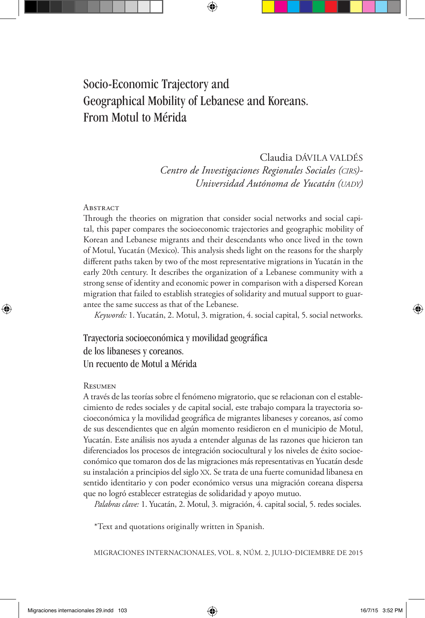# Socio-Economic Trajectory and Geographical Mobility of Lebanese and Koreans. From Motul to Mérida

#### Claudia DÁVILA VALDÉS

*Centro de Investigaciones Regionales Sociales (cirs)- Universidad Autónoma de Yucatán (UADY*)

#### **ABSTRACT**

Through the theories on migration that consider social networks and social capital, this paper compares the socioeconomic trajectories and geographic mobility of Korean and Lebanese migrants and their descendants who once lived in the town of Motul, Yucatán (Mexico). This analysis sheds light on the reasons for the sharply different paths taken by two of the most representative migrations in Yucatán in the early 20th century. It describes the organization of a Lebanese community with a strong sense of identity and economic power in comparison with a dispersed Korean migration that failed to establish strategies of solidarity and mutual support to guarantee the same success as that of the Lebanese.

*Keywords:* 1. Yucatán, 2. Motul, 3. migration, 4. social capital, 5. social networks.

Trayectoria socioeconómica y movilidad geográfica de los libaneses y coreanos. Un recuento de Motul a Mérida

#### **RESUMEN**

A través de las teorías sobre el fenómeno migratorio, que se relacionan con el establecimiento de redes sociales y de capital social, este trabajo compara la trayectoria socioeconómica y la movilidad geográfica de migrantes libaneses y coreanos, así como de sus descendientes que en algún momento residieron en el municipio de Motul, Yucatán. Este análisis nos ayuda a entender algunas de las razones que hicieron tan diferenciados los procesos de integración sociocultural y los niveles de éxito socioeconómico que tomaron dos de las migraciones más representativas en Yucatán desde su instalación a principios del siglo XX. Se trata de una fuerte comunidad libanesa en sentido identitario y con poder económico versus una migración coreana dispersa que no logró establecer estrategias de solidaridad y apoyo mutuo.

*Palabras clave:* 1. Yucatán, 2. Motul, 3. migración, 4. capital social, 5. redes sociales.

\*Text and quotations originally written in Spanish.

MIGRACIONES INTERNACIONALES, VOL. 8, NÚM. 2, JULIO-DICIEMBRE DE 2015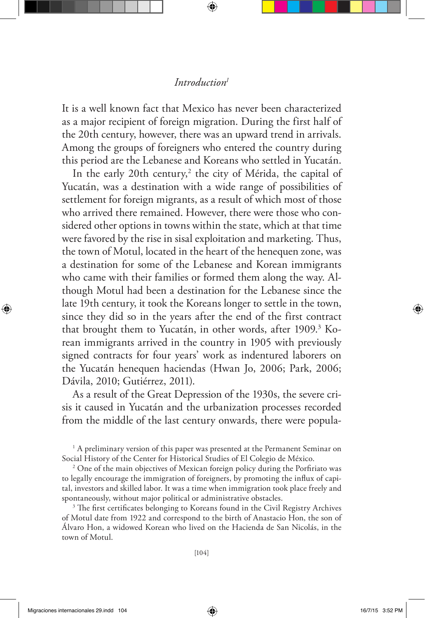#### *Introduction1*

It is a well known fact that Mexico has never been characterized as a major recipient of foreign migration. During the first half of the 20th century, however, there was an upward trend in arrivals. Among the groups of foreigners who entered the country during this period are the Lebanese and Koreans who settled in Yucatán.

In the early 20th century,<sup>2</sup> the city of Mérida, the capital of Yucatán, was a destination with a wide range of possibilities of settlement for foreign migrants, as a result of which most of those who arrived there remained. However, there were those who considered other options in towns within the state, which at that time were favored by the rise in sisal exploitation and marketing. Thus, the town of Motul, located in the heart of the henequen zone, was a destination for some of the Lebanese and Korean immigrants who came with their families or formed them along the way. Although Motul had been a destination for the Lebanese since the late 19th century, it took the Koreans longer to settle in the town, since they did so in the years after the end of the first contract that brought them to Yucatán, in other words, after 1909.<sup>3</sup> Korean immigrants arrived in the country in 1905 with previously signed contracts for four years' work as indentured laborers on the Yucatán henequen haciendas (Hwan Jo, 2006; Park, 2006; Dávila, 2010; Gutiérrez, 2011).

As a result of the Great Depression of the 1930s, the severe crisis it caused in Yucatán and the urbanization processes recorded from the middle of the last century onwards, there were popula-

<sup>1</sup> A preliminary version of this paper was presented at the Permanent Seminar on Social History of the Center for Historical Studies of El Colegio de México.

<sup>2</sup> One of the main objectives of Mexican foreign policy during the Porfiriato was to legally encourage the immigration of foreigners, by promoting the influx of capital, investors and skilled labor. It was a time when immigration took place freely and spontaneously, without major political or administrative obstacles.

<sup>3</sup> The first certificates belonging to Koreans found in the Civil Registry Archives of Motul date from 1922 and correspond to the birth of Anastacio Hon, the son of Álvaro Hon, a widowed Korean who lived on the Hacienda de San Nicolás, in the town of Motul.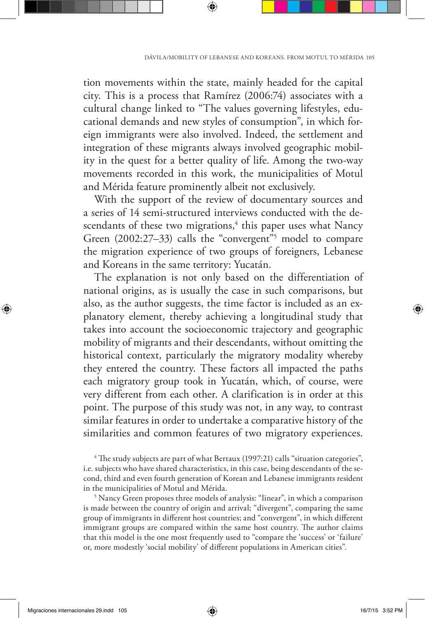tion movements within the state, mainly headed for the capital city. This is a process that Ramírez (2006:74) associates with a cultural change linked to "The values governing lifestyles, educational demands and new styles of consumption", in which foreign immigrants were also involved. Indeed, the settlement and integration of these migrants always involved geographic mobility in the quest for a better quality of life. Among the two-way movements recorded in this work, the municipalities of Motul and Mérida feature prominently albeit not exclusively.

With the support of the review of documentary sources and a series of 14 semi-structured interviews conducted with the descendants of these two migrations,<sup>4</sup> this paper uses what Nancy Green (2002:27–33) calls the "convergent"<sup>5</sup> model to compare the migration experience of two groups of foreigners, Lebanese and Koreans in the same territory: Yucatán.

The explanation is not only based on the differentiation of national origins, as is usually the case in such comparisons, but also, as the author suggests, the time factor is included as an explanatory element, thereby achieving a longitudinal study that takes into account the socioeconomic trajectory and geographic mobility of migrants and their descendants, without omitting the historical context, particularly the migratory modality whereby they entered the country. These factors all impacted the paths each migratory group took in Yucatán, which, of course, were very different from each other. A clarification is in order at this point. The purpose of this study was not, in any way, to contrast similar features in order to undertake a comparative history of the similarities and common features of two migratory experiences.

4 The study subjects are part of what Bertaux (1997:21) calls "situation categories", i.e. subjects who have shared characteristics, in this case, being descendants of the second, third and even fourth generation of Korean and Lebanese immigrants resident in the municipalities of Motul and Mérida.

<sup>5</sup> Nancy Green proposes three models of analysis: "linear", in which a comparison is made between the country of origin and arrival; "divergent", comparing the same group of immigrants in different host countries; and "convergent", in which different immigrant groups are compared within the same host country. The author claims that this model is the one most frequently used to "compare the 'success' or 'failure' or, more modestly 'social mobility' of different populations in American cities".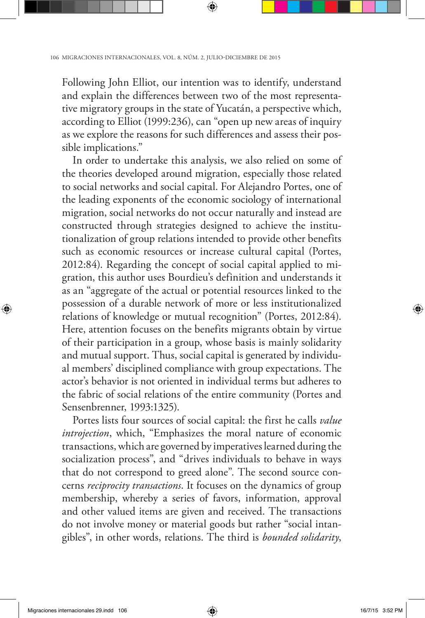Following John Elliot, our intention was to identify, understand and explain the differences between two of the most representative migratory groups in the state of Yucatán, a perspective which, according to Elliot (1999:236), can "open up new areas of inquiry as we explore the reasons for such differences and assess their possible implications."

In order to undertake this analysis, we also relied on some of the theories developed around migration, especially those related to social networks and social capital. For Alejandro Portes, one of the leading exponents of the economic sociology of international migration, social networks do not occur naturally and instead are constructed through strategies designed to achieve the institutionalization of group relations intended to provide other benefits such as economic resources or increase cultural capital (Portes, 2012:84). Regarding the concept of social capital applied to migration, this author uses Bourdieu's definition and understands it as an "aggregate of the actual or potential resources linked to the possession of a durable network of more or less institutionalized relations of knowledge or mutual recognition" (Portes, 2012:84). Here, attention focuses on the benefits migrants obtain by virtue of their participation in a group, whose basis is mainly solidarity and mutual support. Thus, social capital is generated by individual members' disciplined compliance with group expectations. The actor's behavior is not oriented in individual terms but adheres to the fabric of social relations of the entire community (Portes and Sensenbrenner, 1993:1325).

Portes lists four sources of social capital: the first he calls *value introjection*, which, "Emphasizes the moral nature of economic transactions, which are governed by imperatives learned during the socialization process", and "drives individuals to behave in ways that do not correspond to greed alone". The second source concerns *reciprocity transactions*. It focuses on the dynamics of group membership, whereby a series of favors, information, approval and other valued items are given and received. The transactions do not involve money or material goods but rather "social intangibles", in other words, relations. The third is *bounded solidarity*,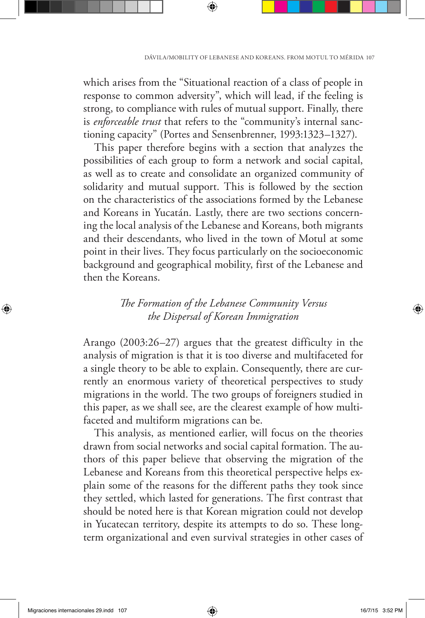which arises from the "Situational reaction of a class of people in response to common adversity", which will lead, if the feeling is strong, to compliance with rules of mutual support. Finally, there is *enforceable trust* that refers to the "community's internal sanctioning capacity" (Portes and Sensenbrenner, 1993:1323–1327).

This paper therefore begins with a section that analyzes the possibilities of each group to form a network and social capital, as well as to create and consolidate an organized community of solidarity and mutual support. This is followed by the section on the characteristics of the associations formed by the Lebanese and Koreans in Yucatán. Lastly, there are two sections concerning the local analysis of the Lebanese and Koreans, both migrants and their descendants, who lived in the town of Motul at some point in their lives. They focus particularly on the socioeconomic background and geographical mobility, first of the Lebanese and then the Koreans.

# *The Formation of the Lebanese Community Versus the Dispersal of Korean Immigration*

Arango (2003:26–27) argues that the greatest difficulty in the analysis of migration is that it is too diverse and multifaceted for a single theory to be able to explain. Consequently, there are currently an enormous variety of theoretical perspectives to study migrations in the world. The two groups of foreigners studied in this paper, as we shall see, are the clearest example of how multifaceted and multiform migrations can be.

This analysis, as mentioned earlier, will focus on the theories drawn from social networks and social capital formation. The authors of this paper believe that observing the migration of the Lebanese and Koreans from this theoretical perspective helps explain some of the reasons for the different paths they took since they settled, which lasted for generations. The first contrast that should be noted here is that Korean migration could not develop in Yucatecan territory, despite its attempts to do so. These longterm organizational and even survival strategies in other cases of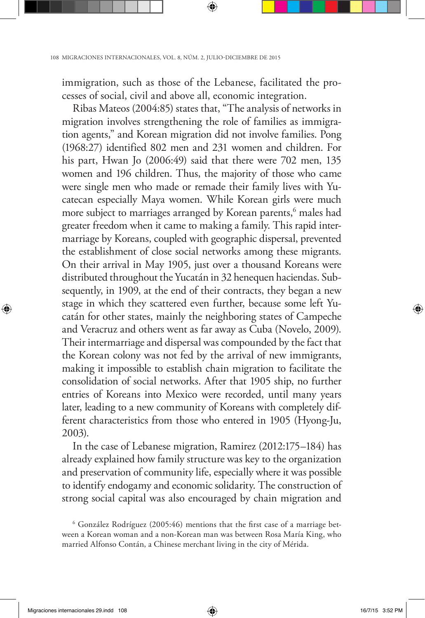immigration, such as those of the Lebanese, facilitated the processes of social, civil and above all, economic integration.

Ribas Mateos (2004:85) states that, "The analysis of networks in migration involves strengthening the role of families as immigration agents," and Korean migration did not involve families. Pong (1968:27) identified 802 men and 231 women and children. For his part, Hwan Jo (2006:49) said that there were 702 men, 135 women and 196 children. Thus, the majority of those who came were single men who made or remade their family lives with Yucatecan especially Maya women. While Korean girls were much more subject to marriages arranged by Korean parents,<sup>6</sup> males had greater freedom when it came to making a family. This rapid intermarriage by Koreans, coupled with geographic dispersal, prevented the establishment of close social networks among these migrants. On their arrival in May 1905, just over a thousand Koreans were distributed throughout the Yucatán in 32 henequen haciendas. Subsequently, in 1909, at the end of their contracts, they began a new stage in which they scattered even further, because some left Yucatán for other states, mainly the neighboring states of Campeche and Veracruz and others went as far away as Cuba (Novelo, 2009). Their intermarriage and dispersal was compounded by the fact that the Korean colony was not fed by the arrival of new immigrants, making it impossible to establish chain migration to facilitate the consolidation of social networks. After that 1905 ship, no further entries of Koreans into Mexico were recorded, until many years later, leading to a new community of Koreans with completely different characteristics from those who entered in 1905 (Hyong-Ju, 2003).

In the case of Lebanese migration, Ramirez (2012:175–184) has already explained how family structure was key to the organization and preservation of community life, especially where it was possible to identify endogamy and economic solidarity. The construction of strong social capital was also encouraged by chain migration and

<sup>6</sup> González Rodríguez (2005:46) mentions that the first case of a marriage between a Korean woman and a non-Korean man was between Rosa María King, who married Alfonso Contán, a Chinese merchant living in the city of Mérida.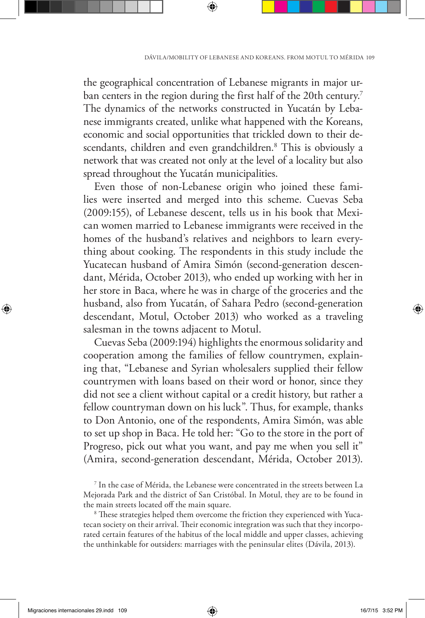the geographical concentration of Lebanese migrants in major urban centers in the region during the first half of the 20th century.<sup>7</sup> The dynamics of the networks constructed in Yucatán by Lebanese immigrants created, unlike what happened with the Koreans, economic and social opportunities that trickled down to their descendants, children and even grandchildren.8 This is obviously a network that was created not only at the level of a locality but also spread throughout the Yucatán municipalities.

Even those of non-Lebanese origin who joined these families were inserted and merged into this scheme. Cuevas Seba (2009:155), of Lebanese descent, tells us in his book that Mexican women married to Lebanese immigrants were received in the homes of the husband's relatives and neighbors to learn everything about cooking. The respondents in this study include the Yucatecan husband of Amira Simón (second-generation descendant, Mérida, October 2013), who ended up working with her in her store in Baca, where he was in charge of the groceries and the husband, also from Yucatán, of Sahara Pedro (second-generation descendant, Motul, October 2013) who worked as a traveling salesman in the towns adjacent to Motul.

Cuevas Seba (2009:194) highlights the enormous solidarity and cooperation among the families of fellow countrymen, explaining that, "Lebanese and Syrian wholesalers supplied their fellow countrymen with loans based on their word or honor, since they did not see a client without capital or a credit history, but rather a fellow countryman down on his luck". Thus, for example, thanks to Don Antonio, one of the respondents, Amira Simón, was able to set up shop in Baca. He told her: "Go to the store in the port of Progreso, pick out what you want, and pay me when you sell it" (Amira, second-generation descendant, Mérida, October 2013).

<sup>7</sup> In the case of Mérida, the Lebanese were concentrated in the streets between La Mejorada Park and the district of San Cristóbal. In Motul, they are to be found in the main streets located off the main square.

<sup>8</sup> These strategies helped them overcome the friction they experienced with Yucatecan society on their arrival. Their economic integration was such that they incorporated certain features of the habitus of the local middle and upper classes, achieving the unthinkable for outsiders: marriages with the peninsular elites (Dávila, 2013).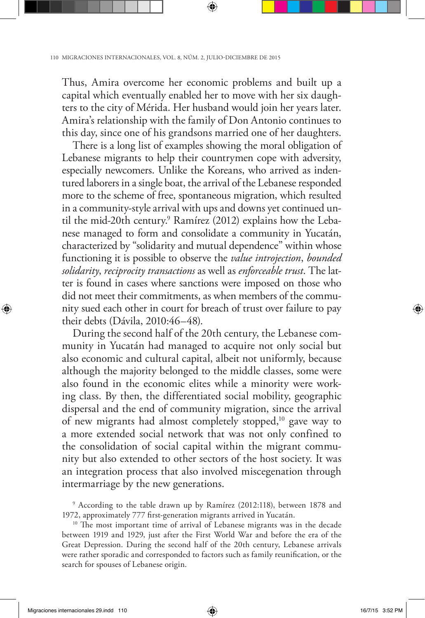Thus, Amira overcome her economic problems and built up a capital which eventually enabled her to move with her six daughters to the city of Mérida. Her husband would join her years later. Amira's relationship with the family of Don Antonio continues to this day, since one of his grandsons married one of her daughters.

There is a long list of examples showing the moral obligation of Lebanese migrants to help their countrymen cope with adversity, especially newcomers. Unlike the Koreans, who arrived as indentured laborers in a single boat, the arrival of the Lebanese responded more to the scheme of free, spontaneous migration, which resulted in a community-style arrival with ups and downs yet continued until the mid-20th century.<sup>9</sup> Ramírez (2012) explains how the Lebanese managed to form and consolidate a community in Yucatán, characterized by "solidarity and mutual dependence" within whose functioning it is possible to observe the *value introjection*, *bounded solidarity*, *reciprocity transactions* as well as *enforceable trust*. The latter is found in cases where sanctions were imposed on those who did not meet their commitments, as when members of the community sued each other in court for breach of trust over failure to pay their debts (Dávila, 2010:46–48).

During the second half of the 20th century, the Lebanese community in Yucatán had managed to acquire not only social but also economic and cultural capital, albeit not uniformly, because although the majority belonged to the middle classes, some were also found in the economic elites while a minority were working class. By then, the differentiated social mobility, geographic dispersal and the end of community migration, since the arrival of new migrants had almost completely stopped,10 gave way to a more extended social network that was not only confined to the consolidation of social capital within the migrant community but also extended to other sectors of the host society. It was an integration process that also involved miscegenation through intermarriage by the new generations.

9 According to the table drawn up by Ramírez (2012:118), between 1878 and 1972, approximately 777 first-generation migrants arrived in Yucatán.

<sup>10</sup> The most important time of arrival of Lebanese migrants was in the decade between 1919 and 1929, just after the First World War and before the era of the Great Depression. During the second half of the 20th century, Lebanese arrivals were rather sporadic and corresponded to factors such as family reunification, or the search for spouses of Lebanese origin.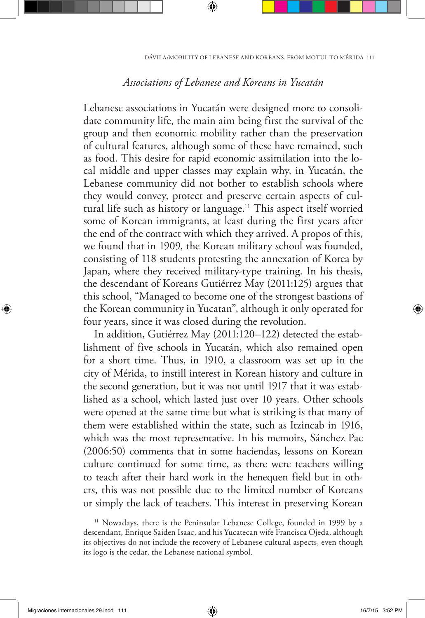### *Associations of Lebanese and Koreans in Yucatán*

Lebanese associations in Yucatán were designed more to consolidate community life, the main aim being first the survival of the group and then economic mobility rather than the preservation of cultural features, although some of these have remained, such as food. This desire for rapid economic assimilation into the local middle and upper classes may explain why, in Yucatán, the Lebanese community did not bother to establish schools where they would convey, protect and preserve certain aspects of cultural life such as history or language.<sup>11</sup> This aspect itself worried some of Korean immigrants, at least during the first years after the end of the contract with which they arrived. A propos of this, we found that in 1909, the Korean military school was founded, consisting of 118 students protesting the annexation of Korea by Japan, where they received military-type training. In his thesis, the descendant of Koreans Gutiérrez May (2011:125) argues that this school, "Managed to become one of the strongest bastions of the Korean community in Yucatan", although it only operated for four years, since it was closed during the revolution.

In addition, Gutiérrez May (2011:120–122) detected the establishment of five schools in Yucatán, which also remained open for a short time. Thus, in 1910, a classroom was set up in the city of Mérida, to instill interest in Korean history and culture in the second generation, but it was not until 1917 that it was established as a school, which lasted just over 10 years. Other schools were opened at the same time but what is striking is that many of them were established within the state, such as Itzincab in 1916, which was the most representative. In his memoirs, Sánchez Pac (2006:50) comments that in some haciendas, lessons on Korean culture continued for some time, as there were teachers willing to teach after their hard work in the henequen field but in others, this was not possible due to the limited number of Koreans or simply the lack of teachers. This interest in preserving Korean

<sup>&</sup>lt;sup>11</sup> Nowadays, there is the Peninsular Lebanese College, founded in 1999 by a descendant, Enrique Saiden Isaac, and his Yucatecan wife Francisca Ojeda, although its objectives do not include the recovery of Lebanese cultural aspects, even though its logo is the cedar, the Lebanese national symbol.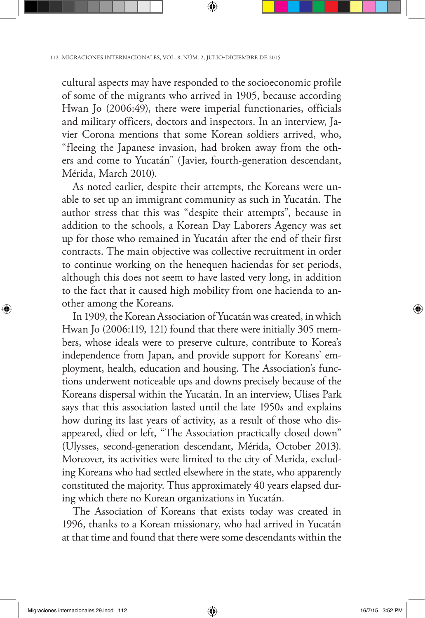cultural aspects may have responded to the socioeconomic profile of some of the migrants who arrived in 1905, because according Hwan Jo (2006:49), there were imperial functionaries, officials and military officers, doctors and inspectors. In an interview, Javier Corona mentions that some Korean soldiers arrived, who, "fleeing the Japanese invasion, had broken away from the others and come to Yucatán" (Javier, fourth-generation descendant, Mérida, March 2010).

As noted earlier, despite their attempts, the Koreans were unable to set up an immigrant community as such in Yucatán. The author stress that this was "despite their attempts", because in addition to the schools, a Korean Day Laborers Agency was set up for those who remained in Yucatán after the end of their first contracts. The main objective was collective recruitment in order to continue working on the henequen haciendas for set periods, although this does not seem to have lasted very long, in addition to the fact that it caused high mobility from one hacienda to another among the Koreans.

In 1909, the Korean Association of Yucatán was created, in which Hwan Jo (2006:119, 121) found that there were initially 305 members, whose ideals were to preserve culture, contribute to Korea's independence from Japan, and provide support for Koreans' employment, health, education and housing. The Association's functions underwent noticeable ups and downs precisely because of the Koreans dispersal within the Yucatán. In an interview, Ulises Park says that this association lasted until the late 1950s and explains how during its last years of activity, as a result of those who disappeared, died or left, "The Association practically closed down" (Ulysses, second-generation descendant, Mérida, October 2013). Moreover, its activities were limited to the city of Merida, excluding Koreans who had settled elsewhere in the state, who apparently constituted the majority. Thus approximately 40 years elapsed during which there no Korean organizations in Yucatán.

The Association of Koreans that exists today was created in 1996, thanks to a Korean missionary, who had arrived in Yucatán at that time and found that there were some descendants within the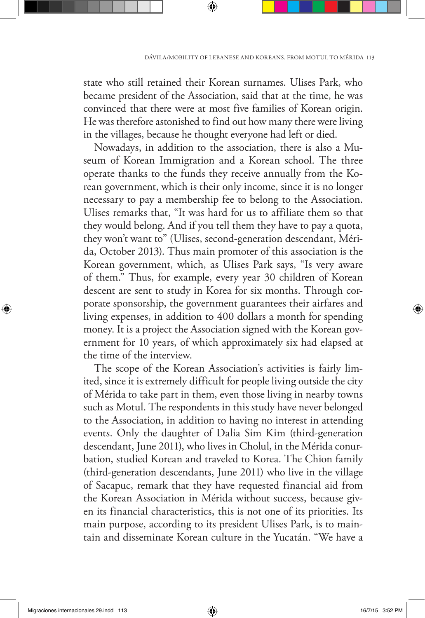state who still retained their Korean surnames. Ulises Park, who became president of the Association, said that at the time, he was convinced that there were at most five families of Korean origin. He was therefore astonished to find out how many there were living in the villages, because he thought everyone had left or died.

Nowadays, in addition to the association, there is also a Museum of Korean Immigration and a Korean school. The three operate thanks to the funds they receive annually from the Korean government, which is their only income, since it is no longer necessary to pay a membership fee to belong to the Association. Ulises remarks that, "It was hard for us to affiliate them so that they would belong. And if you tell them they have to pay a quota, they won't want to" (Ulises, second-generation descendant, Mérida, October 2013). Thus main promoter of this association is the Korean government, which, as Ulises Park says, "Is very aware of them." Thus, for example, every year 30 children of Korean descent are sent to study in Korea for six months. Through corporate sponsorship, the government guarantees their airfares and living expenses, in addition to 400 dollars a month for spending money. It is a project the Association signed with the Korean government for 10 years, of which approximately six had elapsed at the time of the interview.

The scope of the Korean Association's activities is fairly limited, since it is extremely difficult for people living outside the city of Mérida to take part in them, even those living in nearby towns such as Motul. The respondents in this study have never belonged to the Association, in addition to having no interest in attending events. Only the daughter of Dalia Sim Kim (third-generation descendant, June 2011), who lives in Cholul, in the Mérida conurbation, studied Korean and traveled to Korea. The Chion family (third-generation descendants, June 2011) who live in the village of Sacapuc, remark that they have requested financial aid from the Korean Association in Mérida without success, because given its financial characteristics, this is not one of its priorities. Its main purpose, according to its president Ulises Park, is to maintain and disseminate Korean culture in the Yucatán. "We have a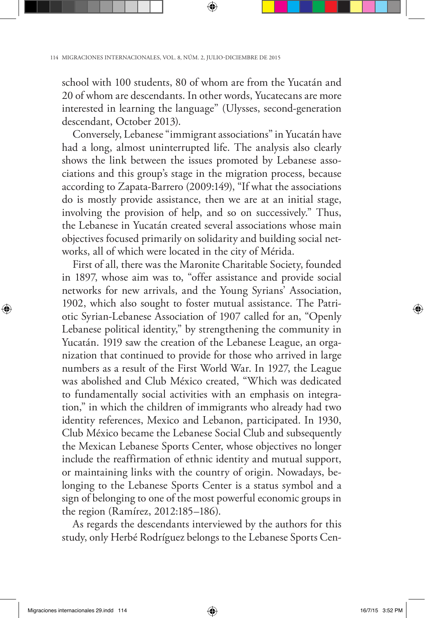school with 100 students, 80 of whom are from the Yucatán and 20 of whom are descendants. In other words, Yucatecans are more interested in learning the language" (Ulysses, second-generation descendant, October 2013).

Conversely, Lebanese "immigrant associations" in Yucatán have had a long, almost uninterrupted life. The analysis also clearly shows the link between the issues promoted by Lebanese associations and this group's stage in the migration process, because according to Zapata-Barrero (2009:149), "If what the associations do is mostly provide assistance, then we are at an initial stage, involving the provision of help, and so on successively." Thus, the Lebanese in Yucatán created several associations whose main objectives focused primarily on solidarity and building social networks, all of which were located in the city of Mérida.

First of all, there was the Maronite Charitable Society, founded in 1897, whose aim was to, "offer assistance and provide social networks for new arrivals, and the Young Syrians' Association, 1902, which also sought to foster mutual assistance. The Patriotic Syrian-Lebanese Association of 1907 called for an, "Openly Lebanese political identity," by strengthening the community in Yucatán. 1919 saw the creation of the Lebanese League, an organization that continued to provide for those who arrived in large numbers as a result of the First World War. In 1927, the League was abolished and Club México created, "Which was dedicated to fundamentally social activities with an emphasis on integration," in which the children of immigrants who already had two identity references, Mexico and Lebanon, participated. In 1930, Club México became the Lebanese Social Club and subsequently the Mexican Lebanese Sports Center, whose objectives no longer include the reaffirmation of ethnic identity and mutual support, or maintaining links with the country of origin. Nowadays, belonging to the Lebanese Sports Center is a status symbol and a sign of belonging to one of the most powerful economic groups in the region (Ramírez, 2012:185–186).

As regards the descendants interviewed by the authors for this study, only Herbé Rodríguez belongs to the Lebanese Sports Cen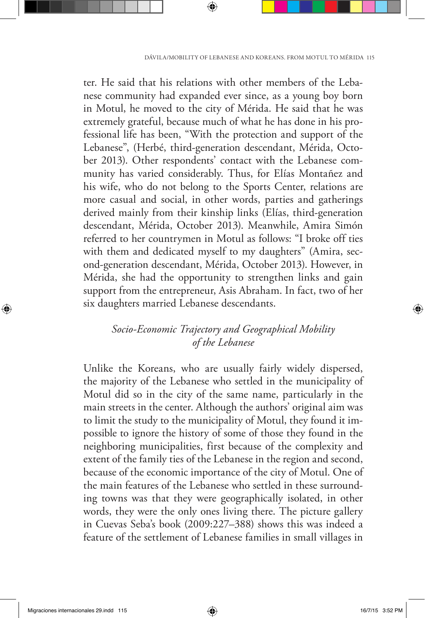ter. He said that his relations with other members of the Lebanese community had expanded ever since, as a young boy born in Motul, he moved to the city of Mérida. He said that he was extremely grateful, because much of what he has done in his professional life has been, "With the protection and support of the Lebanese", (Herbé, third-generation descendant, Mérida, October 2013). Other respondents' contact with the Lebanese community has varied considerably. Thus, for Elías Montañez and his wife, who do not belong to the Sports Center, relations are more casual and social, in other words, parties and gatherings derived mainly from their kinship links (Elías, third-generation descendant, Mérida, October 2013). Meanwhile, Amira Simón referred to her countrymen in Motul as follows: "I broke off ties with them and dedicated myself to my daughters" (Amira, second-generation descendant, Mérida, October 2013). However, in Mérida, she had the opportunity to strengthen links and gain support from the entrepreneur, Asis Abraham. In fact, two of her six daughters married Lebanese descendants.

# *Socio-Economic Trajectory and Geographical Mobility of the Lebanese*

Unlike the Koreans, who are usually fairly widely dispersed, the majority of the Lebanese who settled in the municipality of Motul did so in the city of the same name, particularly in the main streets in the center. Although the authors' original aim was to limit the study to the municipality of Motul, they found it impossible to ignore the history of some of those they found in the neighboring municipalities, first because of the complexity and extent of the family ties of the Lebanese in the region and second, because of the economic importance of the city of Motul. One of the main features of the Lebanese who settled in these surrounding towns was that they were geographically isolated, in other words, they were the only ones living there. The picture gallery in Cuevas Seba's book (2009:227–388) shows this was indeed a feature of the settlement of Lebanese families in small villages in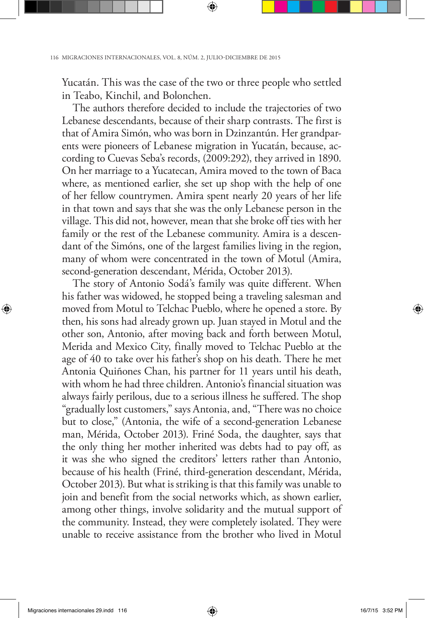Yucatán. This was the case of the two or three people who settled in Teabo, Kinchil, and Bolonchen.

The authors therefore decided to include the trajectories of two Lebanese descendants, because of their sharp contrasts. The first is that of Amira Simón, who was born in Dzinzantún. Her grandparents were pioneers of Lebanese migration in Yucatán, because, according to Cuevas Seba's records, (2009:292), they arrived in 1890. On her marriage to a Yucatecan, Amira moved to the town of Baca where, as mentioned earlier, she set up shop with the help of one of her fellow countrymen. Amira spent nearly 20 years of her life in that town and says that she was the only Lebanese person in the village. This did not, however, mean that she broke off ties with her family or the rest of the Lebanese community. Amira is a descendant of the Simóns, one of the largest families living in the region, many of whom were concentrated in the town of Motul (Amira, second-generation descendant, Mérida, October 2013).

The story of Antonio Sodá's family was quite different. When his father was widowed, he stopped being a traveling salesman and moved from Motul to Telchac Pueblo, where he opened a store. By then, his sons had already grown up. Juan stayed in Motul and the other son, Antonio, after moving back and forth between Motul, Merida and Mexico City, finally moved to Telchac Pueblo at the age of 40 to take over his father's shop on his death. There he met Antonia Quiñones Chan, his partner for 11 years until his death, with whom he had three children. Antonio's financial situation was always fairly perilous, due to a serious illness he suffered. The shop "gradually lost customers," says Antonia, and, "There was no choice but to close," (Antonia, the wife of a second-generation Lebanese man, Mérida, October 2013). Friné Soda, the daughter, says that the only thing her mother inherited was debts had to pay off, as it was she who signed the creditors' letters rather than Antonio, because of his health (Friné, third-generation descendant, Mérida, October 2013). But what is striking is that this family was unable to join and benefit from the social networks which, as shown earlier, among other things, involve solidarity and the mutual support of the community. Instead, they were completely isolated. They were unable to receive assistance from the brother who lived in Motul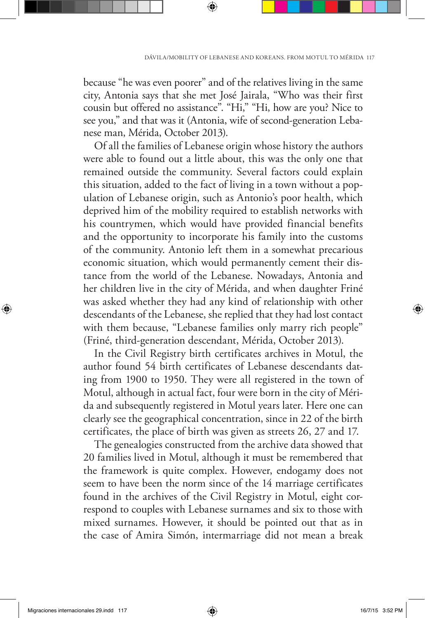because "he was even poorer" and of the relatives living in the same city, Antonia says that she met José Jairala, "Who was their first cousin but offered no assistance". "Hi," "Hi, how are you? Nice to see you," and that was it (Antonia, wife of second-generation Lebanese man, Mérida, October 2013).

Of all the families of Lebanese origin whose history the authors were able to found out a little about, this was the only one that remained outside the community. Several factors could explain this situation, added to the fact of living in a town without a population of Lebanese origin, such as Antonio's poor health, which deprived him of the mobility required to establish networks with his countrymen, which would have provided financial benefits and the opportunity to incorporate his family into the customs of the community. Antonio left them in a somewhat precarious economic situation, which would permanently cement their distance from the world of the Lebanese. Nowadays, Antonia and her children live in the city of Mérida, and when daughter Friné was asked whether they had any kind of relationship with other descendants of the Lebanese, she replied that they had lost contact with them because, "Lebanese families only marry rich people" (Friné, third-generation descendant, Mérida, October 2013).

In the Civil Registry birth certificates archives in Motul, the author found 54 birth certificates of Lebanese descendants dating from 1900 to 1950. They were all registered in the town of Motul, although in actual fact, four were born in the city of Mérida and subsequently registered in Motul years later. Here one can clearly see the geographical concentration, since in 22 of the birth certificates, the place of birth was given as streets 26, 27 and 17.

The genealogies constructed from the archive data showed that 20 families lived in Motul, although it must be remembered that the framework is quite complex. However, endogamy does not seem to have been the norm since of the 14 marriage certificates found in the archives of the Civil Registry in Motul, eight correspond to couples with Lebanese surnames and six to those with mixed surnames. However, it should be pointed out that as in the case of Amira Simón, intermarriage did not mean a break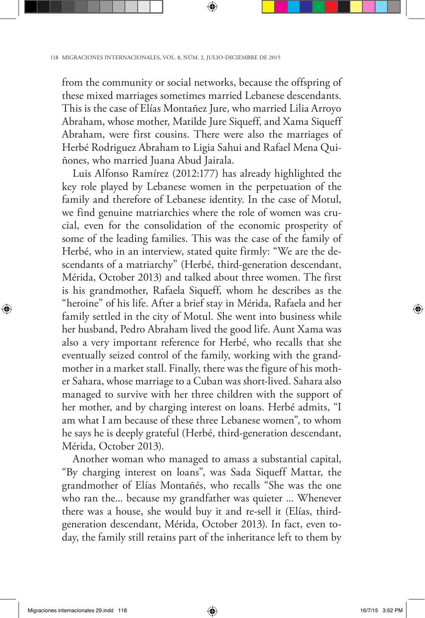from the community or social networks, because the offspring of these mixed marriages sometimes married Lebanese descendants. This is the case of Elías Montañez Jure, who married Lilia Arroyo Abraham, whose mother, Matilde Jure Siqueff, and Xama Siqueff Abraham, were first cousins. There were also the marriages of Herbé Rodriguez Abraham to Ligia Sahui and Rafael Mena Quiñones, who married Juana Abud Jairala.

Luis Alfonso Ramírez (2012:177) has already highlighted the key role played by Lebanese women in the perpetuation of the family and therefore of Lebanese identity. In the case of Motul, we find genuine matriarchies where the role of women was crucial, even for the consolidation of the economic prosperity of some of the leading families. This was the case of the family of Herbé, who in an interview, stated quite firmly: "We are the descendants of a matriarchy" (Herbé, third-generation descendant, Mérida, October 2013) and talked about three women. The first is his grandmother, Rafaela Siqueff, whom he describes as the "heroine" of his life. After a brief stay in Mérida, Rafaela and her family settled in the city of Motul. She went into business while her husband, Pedro Abraham lived the good life. Aunt Xama was also a very important reference for Herbé, who recalls that she eventually seized control of the family, working with the grandmother in a market stall. Finally, there was the figure of his mother Sahara, whose marriage to a Cuban was short-lived. Sahara also managed to survive with her three children with the support of her mother, and by charging interest on loans. Herbé admits, "I am what I am because of these three Lebanese women", to whom he says he is deeply grateful (Herbé, third-generation descendant, Mérida, October 2013).

Another woman who managed to amass a substantial capital, "By charging interest on loans", was Sada Siqueff Mattar, the grandmother of Elías Montañés, who recalls "She was the one who ran the... because my grandfather was quieter ... Whenever there was a house, she would buy it and re-sell it (Elías, thirdgeneration descendant, Mérida, October 2013). In fact, even today, the family still retains part of the inheritance left to them by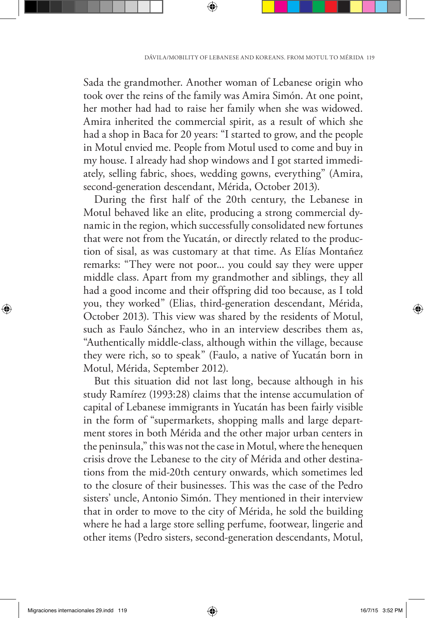Sada the grandmother. Another woman of Lebanese origin who took over the reins of the family was Amira Simón. At one point, her mother had had to raise her family when she was widowed. Amira inherited the commercial spirit, as a result of which she had a shop in Baca for 20 years: "I started to grow, and the people in Motul envied me. People from Motul used to come and buy in my house. I already had shop windows and I got started immediately, selling fabric, shoes, wedding gowns, everything" (Amira, second-generation descendant, Mérida, October 2013).

During the first half of the 20th century, the Lebanese in Motul behaved like an elite, producing a strong commercial dynamic in the region, which successfully consolidated new fortunes that were not from the Yucatán, or directly related to the production of sisal, as was customary at that time. As Elías Montañez remarks: "They were not poor... you could say they were upper middle class. Apart from my grandmother and siblings, they all had a good income and their offspring did too because, as I told you, they worked" (Elias, third-generation descendant, Mérida, October 2013). This view was shared by the residents of Motul, such as Faulo Sánchez, who in an interview describes them as, "Authentically middle-class, although within the village, because they were rich, so to speak" (Faulo, a native of Yucatán born in Motul, Mérida, September 2012).

But this situation did not last long, because although in his study Ramírez (1993:28) claims that the intense accumulation of capital of Lebanese immigrants in Yucatán has been fairly visible in the form of "supermarkets, shopping malls and large department stores in both Mérida and the other major urban centers in the peninsula," this was not the case in Motul, where the henequen crisis drove the Lebanese to the city of Mérida and other destinations from the mid-20th century onwards, which sometimes led to the closure of their businesses. This was the case of the Pedro sisters' uncle, Antonio Simón. They mentioned in their interview that in order to move to the city of Mérida, he sold the building where he had a large store selling perfume, footwear, lingerie and other items (Pedro sisters, second-generation descendants, Motul,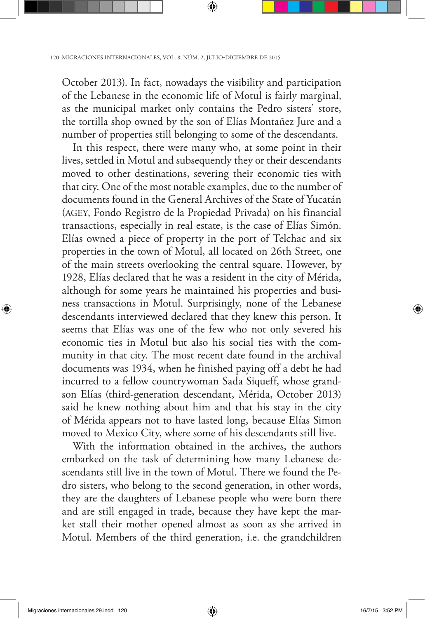October 2013). In fact, nowadays the visibility and participation of the Lebanese in the economic life of Motul is fairly marginal, as the municipal market only contains the Pedro sisters' store, the tortilla shop owned by the son of Elías Montañez Jure and a number of properties still belonging to some of the descendants.

In this respect, there were many who, at some point in their lives, settled in Motul and subsequently they or their descendants moved to other destinations, severing their economic ties with that city. One of the most notable examples, due to the number of documents found in the General Archives of the State of Yucatán (AGEY, Fondo Registro de la Propiedad Privada) on his financial transactions, especially in real estate, is the case of Elías Simón. Elías owned a piece of property in the port of Telchac and six properties in the town of Motul, all located on 26th Street, one of the main streets overlooking the central square. However, by 1928, Elías declared that he was a resident in the city of Mérida, although for some years he maintained his properties and business transactions in Motul. Surprisingly, none of the Lebanese descendants interviewed declared that they knew this person. It seems that Elías was one of the few who not only severed his economic ties in Motul but also his social ties with the community in that city. The most recent date found in the archival documents was 1934, when he finished paying off a debt he had incurred to a fellow countrywoman Sada Siqueff, whose grandson Elías (third-generation descendant, Mérida, October 2013) said he knew nothing about him and that his stay in the city of Mérida appears not to have lasted long, because Elías Simon moved to Mexico City, where some of his descendants still live.

With the information obtained in the archives, the authors embarked on the task of determining how many Lebanese descendants still live in the town of Motul. There we found the Pedro sisters, who belong to the second generation, in other words, they are the daughters of Lebanese people who were born there and are still engaged in trade, because they have kept the market stall their mother opened almost as soon as she arrived in Motul. Members of the third generation, i.e. the grandchildren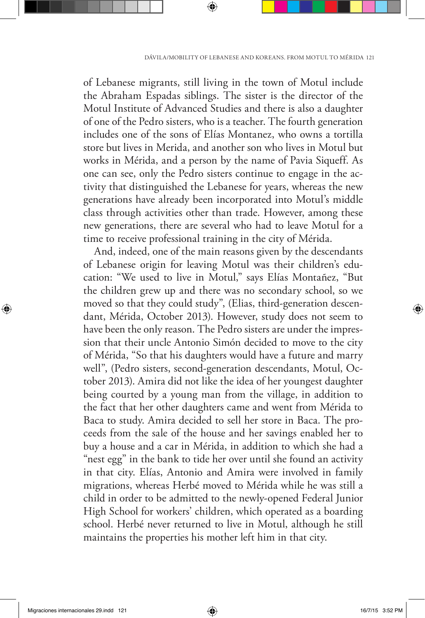of Lebanese migrants, still living in the town of Motul include the Abraham Espadas siblings. The sister is the director of the Motul Institute of Advanced Studies and there is also a daughter of one of the Pedro sisters, who is a teacher. The fourth generation includes one of the sons of Elías Montanez, who owns a tortilla store but lives in Merida, and another son who lives in Motul but works in Mérida, and a person by the name of Pavia Siqueff. As one can see, only the Pedro sisters continue to engage in the activity that distinguished the Lebanese for years, whereas the new generations have already been incorporated into Motul's middle class through activities other than trade. However, among these new generations, there are several who had to leave Motul for a time to receive professional training in the city of Mérida.

And, indeed, one of the main reasons given by the descendants of Lebanese origin for leaving Motul was their children's education: "We used to live in Motul," says Elías Montañez, "But the children grew up and there was no secondary school, so we moved so that they could study", (Elias, third-generation descendant, Mérida, October 2013). However, study does not seem to have been the only reason. The Pedro sisters are under the impression that their uncle Antonio Simón decided to move to the city of Mérida, "So that his daughters would have a future and marry well", (Pedro sisters, second-generation descendants, Motul, October 2013). Amira did not like the idea of her youngest daughter being courted by a young man from the village, in addition to the fact that her other daughters came and went from Mérida to Baca to study. Amira decided to sell her store in Baca. The proceeds from the sale of the house and her savings enabled her to buy a house and a car in Mérida, in addition to which she had a "nest egg" in the bank to tide her over until she found an activity in that city. Elías, Antonio and Amira were involved in family migrations, whereas Herbé moved to Mérida while he was still a child in order to be admitted to the newly-opened Federal Junior High School for workers' children, which operated as a boarding school. Herbé never returned to live in Motul, although he still maintains the properties his mother left him in that city.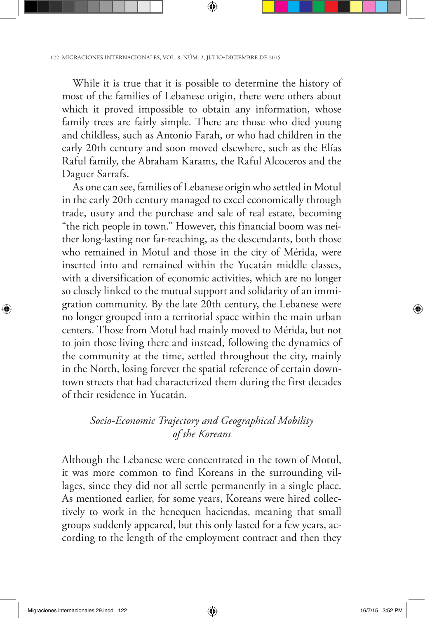While it is true that it is possible to determine the history of most of the families of Lebanese origin, there were others about which it proved impossible to obtain any information, whose family trees are fairly simple. There are those who died young and childless, such as Antonio Farah, or who had children in the early 20th century and soon moved elsewhere, such as the Elías Raful family, the Abraham Karams, the Raful Alcoceros and the Daguer Sarrafs.

As one can see, families of Lebanese origin who settled in Motul in the early 20th century managed to excel economically through trade, usury and the purchase and sale of real estate, becoming "the rich people in town." However, this financial boom was neither long-lasting nor far-reaching, as the descendants, both those who remained in Motul and those in the city of Mérida, were inserted into and remained within the Yucatán middle classes, with a diversification of economic activities, which are no longer so closely linked to the mutual support and solidarity of an immigration community. By the late 20th century, the Lebanese were no longer grouped into a territorial space within the main urban centers. Those from Motul had mainly moved to Mérida, but not to join those living there and instead, following the dynamics of the community at the time, settled throughout the city, mainly in the North, losing forever the spatial reference of certain downtown streets that had characterized them during the first decades of their residence in Yucatán.

### *Socio-Economic Trajectory and Geographical Mobility of the Koreans*

Although the Lebanese were concentrated in the town of Motul, it was more common to find Koreans in the surrounding villages, since they did not all settle permanently in a single place. As mentioned earlier, for some years, Koreans were hired collectively to work in the henequen haciendas, meaning that small groups suddenly appeared, but this only lasted for a few years, according to the length of the employment contract and then they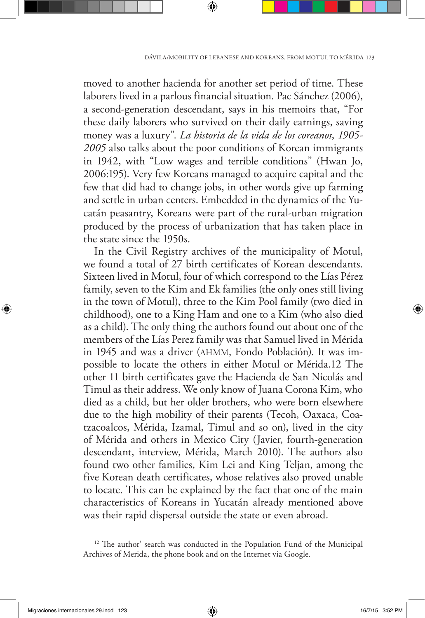moved to another hacienda for another set period of time. These laborers lived in a parlous financial situation. Pac Sánchez (2006), a second-generation descendant, says in his memoirs that, "For these daily laborers who survived on their daily earnings, saving money was a luxury". *La historia de la vida de los coreanos*, *1905- 2005* also talks about the poor conditions of Korean immigrants in 1942, with "Low wages and terrible conditions" (Hwan Jo, 2006:195). Very few Koreans managed to acquire capital and the few that did had to change jobs, in other words give up farming and settle in urban centers. Embedded in the dynamics of the Yucatán peasantry, Koreans were part of the rural-urban migration produced by the process of urbanization that has taken place in the state since the 1950s.

In the Civil Registry archives of the municipality of Motul, we found a total of 27 birth certificates of Korean descendants. Sixteen lived in Motul, four of which correspond to the Lías Pérez family, seven to the Kim and Ek families (the only ones still living in the town of Motul), three to the Kim Pool family (two died in childhood), one to a King Ham and one to a Kim (who also died as a child). The only thing the authors found out about one of the members of the Lías Perez family was that Samuel lived in Mérida in 1945 and was a driver (AHMM, Fondo Población). It was impossible to locate the others in either Motul or Mérida.12 The other 11 birth certificates gave the Hacienda de San Nicolás and Timul as their address. We only know of Juana Corona Kim, who died as a child, but her older brothers, who were born elsewhere due to the high mobility of their parents (Tecoh, Oaxaca, Coatzacoalcos, Mérida, Izamal, Timul and so on), lived in the city of Mérida and others in Mexico City (Javier, fourth-generation descendant, interview, Mérida, March 2010). The authors also found two other families, Kim Lei and King Teljan, among the five Korean death certificates, whose relatives also proved unable to locate. This can be explained by the fact that one of the main characteristics of Koreans in Yucatán already mentioned above was their rapid dispersal outside the state or even abroad.

<sup>&</sup>lt;sup>12</sup> The author' search was conducted in the Population Fund of the Municipal Archives of Merida, the phone book and on the Internet via Google.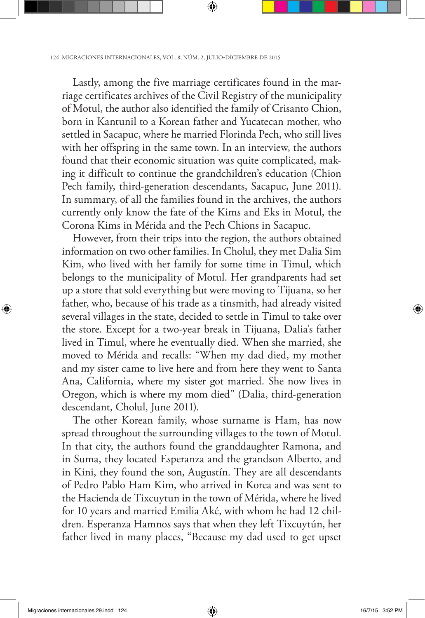Lastly, among the five marriage certificates found in the marriage certificates archives of the Civil Registry of the municipality of Motul, the author also identified the family of Crisanto Chion, born in Kantunil to a Korean father and Yucatecan mother, who settled in Sacapuc, where he married Florinda Pech, who still lives with her offspring in the same town. In an interview, the authors found that their economic situation was quite complicated, making it difficult to continue the grandchildren's education (Chion Pech family, third-generation descendants, Sacapuc, June 2011). In summary, of all the families found in the archives, the authors currently only know the fate of the Kims and Eks in Motul, the Corona Kims in Mérida and the Pech Chions in Sacapuc.

However, from their trips into the region, the authors obtained information on two other families. In Cholul, they met Dalia Sim Kim, who lived with her family for some time in Timul, which belongs to the municipality of Motul. Her grandparents had set up a store that sold everything but were moving to Tijuana, so her father, who, because of his trade as a tinsmith, had already visited several villages in the state, decided to settle in Timul to take over the store. Except for a two-year break in Tijuana, Dalia's father lived in Timul, where he eventually died. When she married, she moved to Mérida and recalls: "When my dad died, my mother and my sister came to live here and from here they went to Santa Ana, California, where my sister got married. She now lives in Oregon, which is where my mom died" (Dalia, third-generation descendant, Cholul, June 2011).

The other Korean family, whose surname is Ham, has now spread throughout the surrounding villages to the town of Motul. In that city, the authors found the granddaughter Ramona, and in Suma, they located Esperanza and the grandson Alberto, and in Kini, they found the son, Augustín. They are all descendants of Pedro Pablo Ham Kim, who arrived in Korea and was sent to the Hacienda de Tixcuytun in the town of Mérida, where he lived for 10 years and married Emilia Aké, with whom he had 12 children. Esperanza Hamnos says that when they left Tixcuytún, her father lived in many places, "Because my dad used to get upset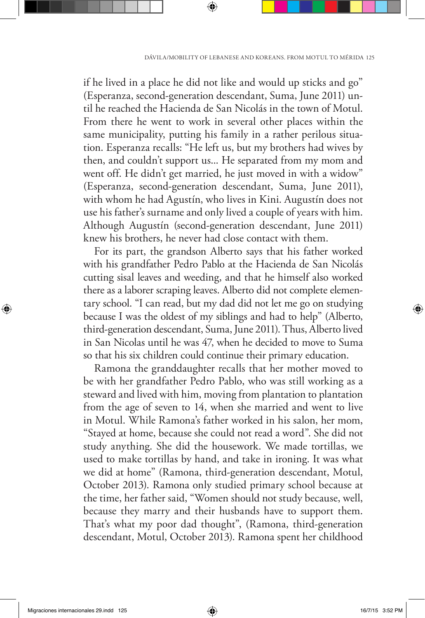if he lived in a place he did not like and would up sticks and go" (Esperanza, second-generation descendant, Suma, June 2011) until he reached the Hacienda de San Nicolás in the town of Motul. From there he went to work in several other places within the same municipality, putting his family in a rather perilous situation. Esperanza recalls: "He left us, but my brothers had wives by then, and couldn't support us... He separated from my mom and went off. He didn't get married, he just moved in with a widow" (Esperanza, second-generation descendant, Suma, June 2011), with whom he had Agustín, who lives in Kini. Augustín does not use his father's surname and only lived a couple of years with him. Although Augustín (second-generation descendant, June 2011) knew his brothers, he never had close contact with them.

For its part, the grandson Alberto says that his father worked with his grandfather Pedro Pablo at the Hacienda de San Nicolás cutting sisal leaves and weeding, and that he himself also worked there as a laborer scraping leaves. Alberto did not complete elementary school. "I can read, but my dad did not let me go on studying because I was the oldest of my siblings and had to help" (Alberto, third-generation descendant, Suma, June 2011). Thus, Alberto lived in San Nicolas until he was 47, when he decided to move to Suma so that his six children could continue their primary education.

Ramona the granddaughter recalls that her mother moved to be with her grandfather Pedro Pablo, who was still working as a steward and lived with him, moving from plantation to plantation from the age of seven to 14, when she married and went to live in Motul. While Ramona's father worked in his salon, her mom, "Stayed at home, because she could not read a word". She did not study anything. She did the housework. We made tortillas, we used to make tortillas by hand, and take in ironing. It was what we did at home" (Ramona, third-generation descendant, Motul, October 2013). Ramona only studied primary school because at the time, her father said, "Women should not study because, well, because they marry and their husbands have to support them. That's what my poor dad thought", (Ramona, third-generation descendant, Motul, October 2013). Ramona spent her childhood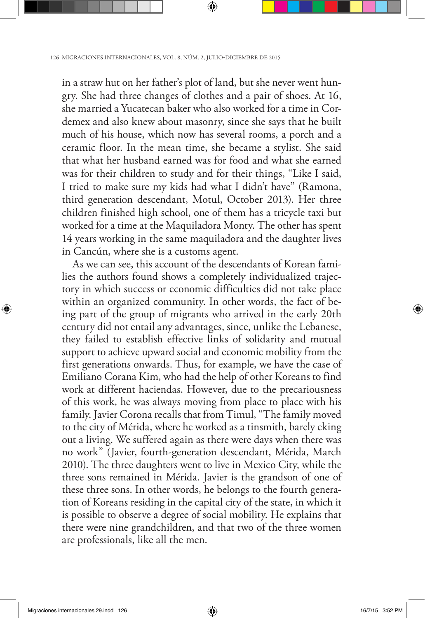in a straw hut on her father's plot of land, but she never went hungry. She had three changes of clothes and a pair of shoes. At 16, she married a Yucatecan baker who also worked for a time in Cordemex and also knew about masonry, since she says that he built much of his house, which now has several rooms, a porch and a ceramic floor. In the mean time, she became a stylist. She said that what her husband earned was for food and what she earned was for their children to study and for their things, "Like I said, I tried to make sure my kids had what I didn't have" (Ramona, third generation descendant, Motul, October 2013). Her three children finished high school, one of them has a tricycle taxi but worked for a time at the Maquiladora Monty. The other has spent 14 years working in the same maquiladora and the daughter lives in Cancún, where she is a customs agent.

As we can see, this account of the descendants of Korean families the authors found shows a completely individualized trajectory in which success or economic difficulties did not take place within an organized community. In other words, the fact of being part of the group of migrants who arrived in the early 20th century did not entail any advantages, since, unlike the Lebanese, they failed to establish effective links of solidarity and mutual support to achieve upward social and economic mobility from the first generations onwards. Thus, for example, we have the case of Emiliano Corana Kim, who had the help of other Koreans to find work at different haciendas. However, due to the precariousness of this work, he was always moving from place to place with his family. Javier Corona recalls that from Timul, "The family moved to the city of Mérida, where he worked as a tinsmith, barely eking out a living. We suffered again as there were days when there was no work" (Javier, fourth-generation descendant, Mérida, March 2010). The three daughters went to live in Mexico City, while the three sons remained in Mérida. Javier is the grandson of one of these three sons. In other words, he belongs to the fourth generation of Koreans residing in the capital city of the state, in which it is possible to observe a degree of social mobility. He explains that there were nine grandchildren, and that two of the three women are professionals, like all the men.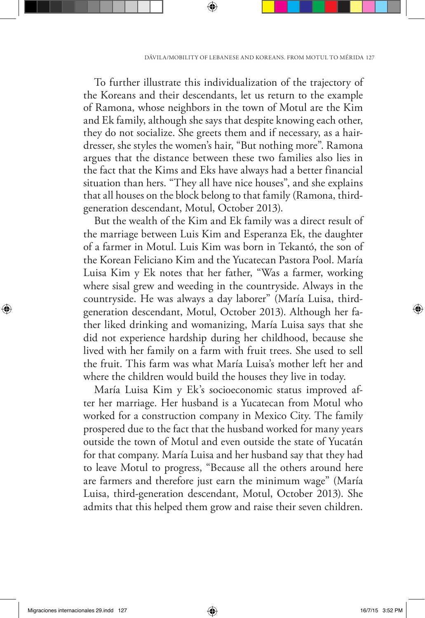To further illustrate this individualization of the trajectory of the Koreans and their descendants, let us return to the example of Ramona, whose neighbors in the town of Motul are the Kim and Ek family, although she says that despite knowing each other, they do not socialize. She greets them and if necessary, as a hairdresser, she styles the women's hair, "But nothing more". Ramona argues that the distance between these two families also lies in the fact that the Kims and Eks have always had a better financial situation than hers. "They all have nice houses", and she explains that all houses on the block belong to that family (Ramona, thirdgeneration descendant, Motul, October 2013).

But the wealth of the Kim and Ek family was a direct result of the marriage between Luis Kim and Esperanza Ek, the daughter of a farmer in Motul. Luis Kim was born in Tekantó, the son of the Korean Feliciano Kim and the Yucatecan Pastora Pool. María Luisa Kim y Ek notes that her father, "Was a farmer, working where sisal grew and weeding in the countryside. Always in the countryside. He was always a day laborer" (María Luisa, thirdgeneration descendant, Motul, October 2013). Although her father liked drinking and womanizing, María Luisa says that she did not experience hardship during her childhood, because she lived with her family on a farm with fruit trees. She used to sell the fruit. This farm was what María Luisa's mother left her and where the children would build the houses they live in today.

María Luisa Kim y Ek's socioeconomic status improved after her marriage. Her husband is a Yucatecan from Motul who worked for a construction company in Mexico City. The family prospered due to the fact that the husband worked for many years outside the town of Motul and even outside the state of Yucatán for that company. María Luisa and her husband say that they had to leave Motul to progress, "Because all the others around here are farmers and therefore just earn the minimum wage" (María Luisa, third-generation descendant, Motul, October 2013). She admits that this helped them grow and raise their seven children.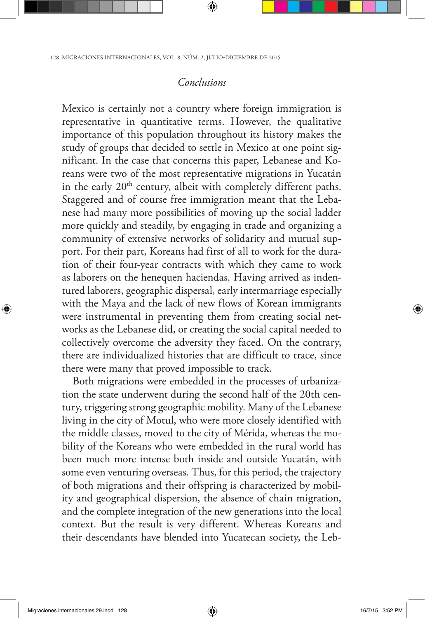### *Conclusions*

Mexico is certainly not a country where foreign immigration is representative in quantitative terms. However, the qualitative importance of this population throughout its history makes the study of groups that decided to settle in Mexico at one point significant. In the case that concerns this paper, Lebanese and Koreans were two of the most representative migrations in Yucatán in the early 20<sup>th</sup> century, albeit with completely different paths. Staggered and of course free immigration meant that the Lebanese had many more possibilities of moving up the social ladder more quickly and steadily, by engaging in trade and organizing a community of extensive networks of solidarity and mutual support. For their part, Koreans had first of all to work for the duration of their four-year contracts with which they came to work as laborers on the henequen haciendas. Having arrived as indentured laborers, geographic dispersal, early intermarriage especially with the Maya and the lack of new flows of Korean immigrants were instrumental in preventing them from creating social networks as the Lebanese did, or creating the social capital needed to collectively overcome the adversity they faced. On the contrary, there are individualized histories that are difficult to trace, since there were many that proved impossible to track.

Both migrations were embedded in the processes of urbanization the state underwent during the second half of the 20th century, triggering strong geographic mobility. Many of the Lebanese living in the city of Motul, who were more closely identified with the middle classes, moved to the city of Mérida, whereas the mobility of the Koreans who were embedded in the rural world has been much more intense both inside and outside Yucatán, with some even venturing overseas. Thus, for this period, the trajectory of both migrations and their offspring is characterized by mobility and geographical dispersion, the absence of chain migration, and the complete integration of the new generations into the local context. But the result is very different. Whereas Koreans and their descendants have blended into Yucatecan society, the Leb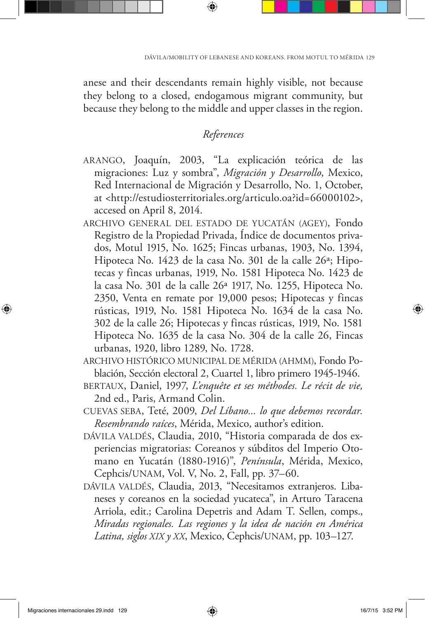anese and their descendants remain highly visible, not because they belong to a closed, endogamous migrant community, but because they belong to the middle and upper classes in the region.

## *References*

- ARANGO, Joaquín, 2003, "La explicación teórica de las migraciones: Luz y sombra", *Migración y Desarrollo*, Mexico, Red Internacional de Migración y Desarrollo, No. 1, October, at <http://estudiosterritoriales.org/articulo.oa?id=66000102>, accesed on April 8, 2014.
- ARCHIVO GENERAL DEL ESTADO DE YUCATÁN (AGEY), Fondo Registro de la Propiedad Privada, Índice de documentos privados, Motul 1915, No. 1625; Fincas urbanas, 1903, No. 1394, Hipoteca No. 1423 de la casa No. 301 de la calle 26ª; Hipotecas y fincas urbanas, 1919, No. 1581 Hipoteca No. 1423 de la casa No. 301 de la calle 26ª 1917, No. 1255, Hipoteca No. 2350, Venta en remate por 19,000 pesos; Hipotecas y fincas rústicas, 1919, No. 1581 Hipoteca No. 1634 de la casa No. 302 de la calle 26; Hipotecas y fincas rústicas, 1919, No. 1581 Hipoteca No. 1635 de la casa No. 304 de la calle 26, Fincas urbanas, 1920, libro 1289, No. 1728.
- ARCHIVO HISTÓRICO MUNICIPAL DE MÉRIDA (AHMM), Fondo Población, Sección electoral 2, Cuartel 1, libro primero 1945-1946.
- BERTAUX, Daniel, 1997, *L'enquête et ses méthodes. Le récit de vie,* 2nd ed., Paris, Armand Colin.
- CUEVAS SEBA, Teté, 2009, *Del Líbano... lo que debemos recordar. Resembrando raíces*, Mérida, Mexico, author's edition.
- DÁVILA VALDÉS, Claudia, 2010, "Historia comparada de dos experiencias migratorias: Coreanos y súbditos del Imperio Otomano en Yucatán (1880-1916)", *Península*, Mérida, Mexico, Cephcis/UNAM, Vol. V, No. 2, Fall, pp. 37–60.
- DÁVILA VALDÉS, Claudia, 2013, "Necesitamos extranjeros. Libaneses y coreanos en la sociedad yucateca", in Arturo Taracena Arriola, edit.; Carolina Depetris and Adam T. Sellen, comps., *Miradas regionales. Las regiones y la idea de nación en América Latina, siglos XIX y XX*, Mexico, Cephcis/UNAM, pp. 103–127.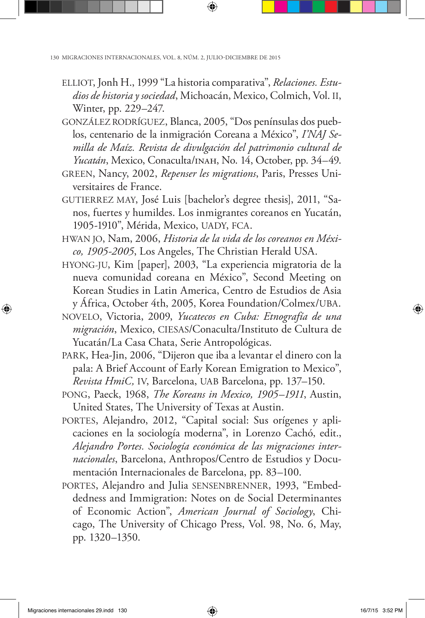- ELLIOT, Jonh H., 1999 "La historia comparativa", *Relaciones. Estudios de historia y sociedad*, Michoacán, Mexico, Colmich, Vol. II, Winter, pp. 229–247.
- GONZÁLEZ RODRÍGUEZ, Blanca, 2005, "Dos penínsulas dos pueblos, centenario de la inmigración Coreana a México", *I'NAJ Semilla de Maíz. Revista de divulgación del patrimonio cultural de Yucatán*, Mexico, Conaculta/inah, No. 14, October, pp. 34–49.
- GREEN, Nancy, 2002, *Repenser les migrations*, Paris, Presses Universitaires de France.
- GUTIERREZ MAY, José Luis [bachelor's degree thesis], 2011, "Sanos, fuertes y humildes. Los inmigrantes coreanos en Yucatán, 1905-1910", Mérida, Mexico, UADY, FCA.
- HWAN JO, Nam, 2006, *Historia de la vida de los coreanos en México, 1905-2005*, Los Angeles, The Christian Herald USA.
- HYONG-JU, Kim [paper], 2003, "La experiencia migratoria de la nueva comunidad coreana en México", Second Meeting on Korean Studies in Latin America, Centro de Estudios de Asia y África, October 4th, 2005, Korea Foundation/Colmex/UBA.
- NOVELO, Victoria, 2009, *Yucatecos en Cuba: Etnografía de una migración*, Mexico, CIESAS/Conaculta/Instituto de Cultura de Yucatán/La Casa Chata, Serie Antropológicas.
- PARK, Hea-Jin, 2006, "Dijeron que iba a levantar el dinero con la pala: A Brief Account of Early Korean Emigration to Mexico", *Revista HmiC,* IV, Barcelona, UAB Barcelona, pp. 137–150.
- PONG, Paeck, 1968, *The Koreans in Mexico, 1905–1911*, Austin, United States, The University of Texas at Austin.
- PORTES, Alejandro, 2012, "Capital social: Sus orígenes y aplicaciones en la sociología moderna", in Lorenzo Cachó, edit., *Alejandro Portes. Sociología económica de las migraciones internacionales*, Barcelona, Anthropos/Centro de Estudios y Documentación Internacionales de Barcelona, pp. 83–100.
- PORTES, Alejandro and Julia SENSENBRENNER, 1993, "Embeddedness and Immigration: Notes on de Social Determinantes of Economic Action", *American Journal of Sociology*, Chicago, The University of Chicago Press, Vol. 98, No. 6, May, pp. 1320–1350.